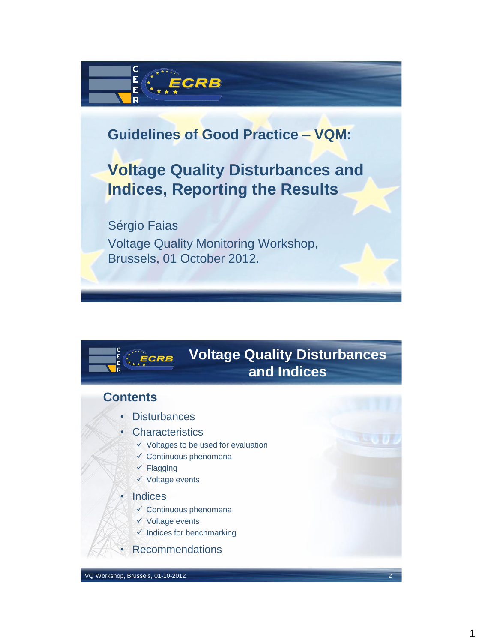

## **Guidelines of Good Practice – VQM:**

# **Voltage Quality Disturbances and Indices, Reporting the Results**

Sérgio Faias Voltage Quality Monitoring Workshop, Brussels, 01 October 2012.

#### **Voltage Quality Disturbances**   $E$ <sub>c</sub> $ERB$ **and Indices**

### **Contents**

- **Disturbances**
- **Characteristics** 
	- $\checkmark$  Voltages to be used for evaluation
	- $\checkmark$  Continuous phenomena
	- $\checkmark$  Flagging
	- $\checkmark$  Voltage events
- **Indices** 
	- $\checkmark$  Continuous phenomena
	- $\checkmark$  Voltage events
	- $\checkmark$  Indices for benchmarking
- Recommendations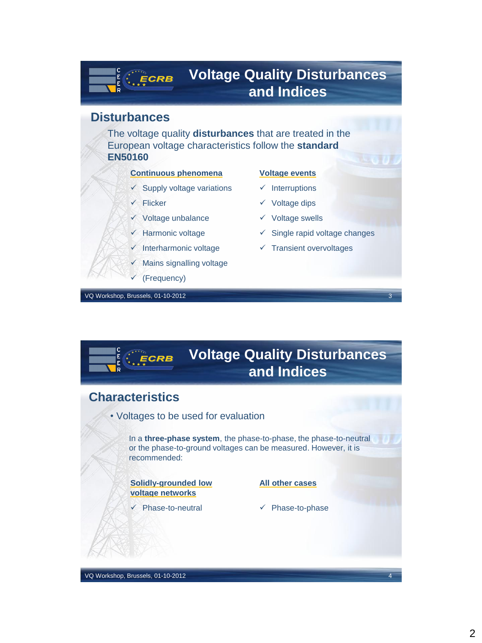## **Voltage Quality Disturbances and Indices**

#### **Disturbances**

 $\frac{\mathsf{E}}{\mathsf{E}}$ 

The voltage quality **disturbances** that are treated in the European voltage characteristics follow the **standard EN50160**

#### **Continuous phenomena**

- $\checkmark$  Supply voltage variations
- $\times$  Flicker

 $E$ **ECRB** 

- $\checkmark$  Voltage unbalance
- $\checkmark$  Harmonic voltage
- $\checkmark$  Interharmonic voltage
- $\checkmark$  Mains signalling voltage
- (Frequency)

VQ Workshop, Brussels, 01-10-2012 3

#### **Voltage events**

- $\checkmark$  Interruptions
- $\checkmark$  Voltage dips
- $\checkmark$  Voltage swells
- $\checkmark$  Single rapid voltage changes
- $\checkmark$  Transient overvoltages

**Characteristics** • Voltages to be used for evaluation In a **three-phase system**, the phase-to-phase, the phase-to-neutral or the phase-to-ground voltages can be measured. However, it is recommended: **Voltage Quality Disturbances and Indices Solidly-grounded low voltage networks All other cases**

Phase-to-neutral

 $\checkmark$  Phase-to-phase

VQ Workshop, Brussels, 01-10-2012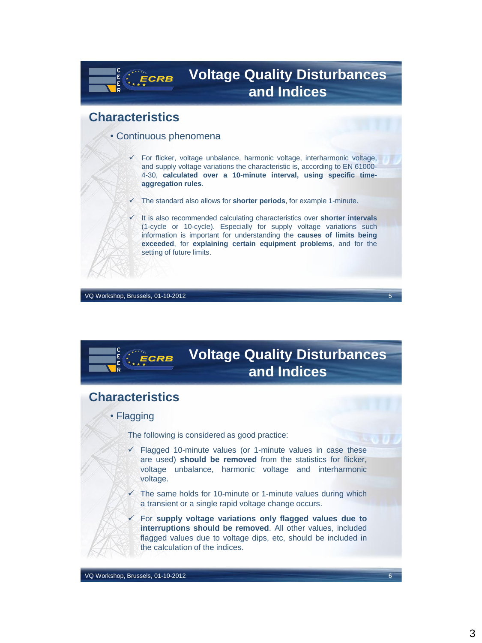## **Voltage Quality Disturbances and Indices**

#### **Characteristics**

• Continuous phenomena

**ECRB** 

- $\checkmark$  For flicker, voltage unbalance, harmonic voltage, interharmonic voltage, and supply voltage variations the characteristic is, according to EN 61000- 4-30, **calculated over a 10-minute interval, using specific timeaggregation rules**.
- The standard also allows for **shorter periods**, for example 1-minute.
- It is also recommended calculating characteristics over **shorter intervals** (1-cycle or 10-cycle). Especially for supply voltage variations such information is important for understanding the **causes of limits being exceeded**, for **explaining certain equipment problems**, and for the setting of future limits.

VQ Workshop, Brussels, 01-10-2012

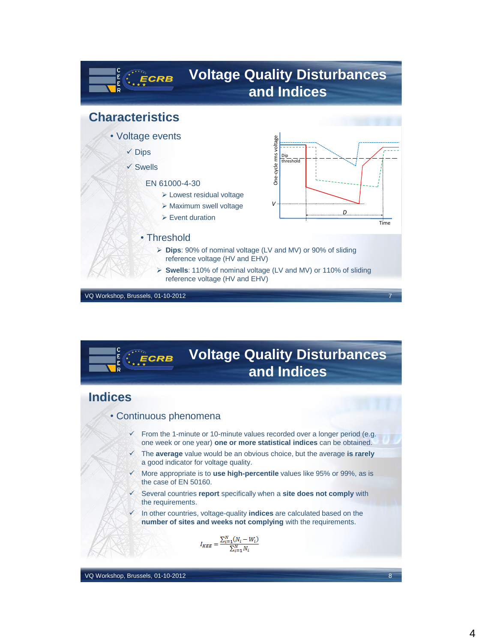

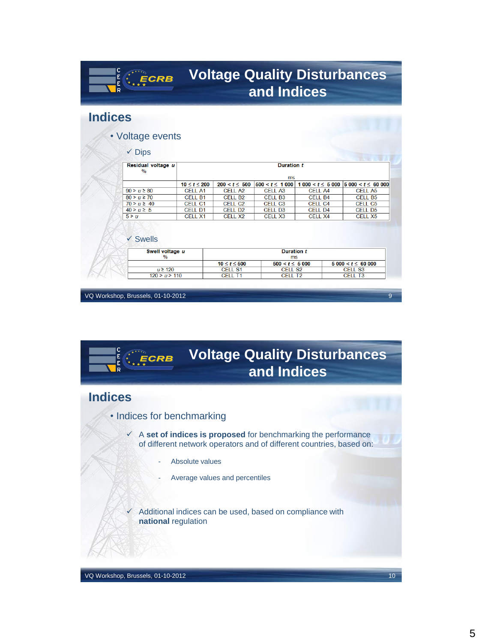| E<br>E<br>ECRB<br>Ŕ                                      |                    | <b>Voltage Quality Disturbances</b><br>and Indices |                                       |                    |  |                                              |
|----------------------------------------------------------|--------------------|----------------------------------------------------|---------------------------------------|--------------------|--|----------------------------------------------|
| <b>Indices</b>                                           |                    |                                                    |                                       |                    |  |                                              |
| • Voltage events                                         |                    |                                                    |                                       |                    |  |                                              |
|                                                          |                    |                                                    |                                       |                    |  |                                              |
| $\checkmark$ Dips<br>Residual voltage u<br>$\frac{0}{0}$ |                    | <b>Duration t</b>                                  |                                       |                    |  |                                              |
|                                                          |                    | ms                                                 |                                       |                    |  |                                              |
|                                                          | $10 \le t \le 200$ | $200 < t \leq 500$                                 | $500 < t \le 1000$                    |                    |  | $1000 < t \leq 5000$   $5000 < t \leq 60000$ |
| $90 > u \ge 80$                                          | <b>CELL A1</b>     | <b>CELL A2</b>                                     | <b>CELL A3</b>                        | <b>CELL A4</b>     |  | <b>CELL A5</b>                               |
| $80 > u \ge 70$                                          | CFII B1            | CFII B <sub>2</sub>                                | CFII B3                               | CFII B4<br>CFLL C4 |  | CFII B5                                      |
| $70 > u \ge 40$                                          | CELL C1            | CFLL C <sub>2</sub>                                | CFII <sub>C3</sub>                    |                    |  | CFIL C5                                      |
| $40 > u \ge 5$                                           | CELL D1            | <b>CELL D2</b>                                     | CELL D <sub>3</sub>                   | <b>CELL D4</b>     |  | CELL D5                                      |
| 5 > u                                                    | <b>CELL X1</b>     | <b>CELL X2</b>                                     | CELL <sub>X3</sub>                    | <b>CELL X4</b>     |  | <b>CELL X5</b>                               |
|                                                          |                    |                                                    |                                       |                    |  |                                              |
| $\checkmark$ Swells                                      |                    |                                                    |                                       |                    |  |                                              |
| Swell voltage u                                          |                    |                                                    | <b>Duration t</b>                     |                    |  |                                              |
| $\%$                                                     |                    |                                                    | ms                                    |                    |  |                                              |
| $u \ge 120$                                              |                    | $10 \le t \le 500$<br><b>CELL S1</b>               | $500 < t \leq 5000$<br><b>CELL S2</b> |                    |  | $5000 < t \leq 60000$<br><b>CELL S3</b>      |

VQ Workshop, Brussels, 01-10-2012 9

# **Voltage Quality Disturbances and Indices**

## **Indices**

E<br>E

- Indices for benchmarking
	- A **set of indices is proposed** for benchmarking the performance of different network operators and of different countries, based on:
		- Absolute values
		- Average values and percentiles

 Additional indices can be used, based on compliance with **national** regulation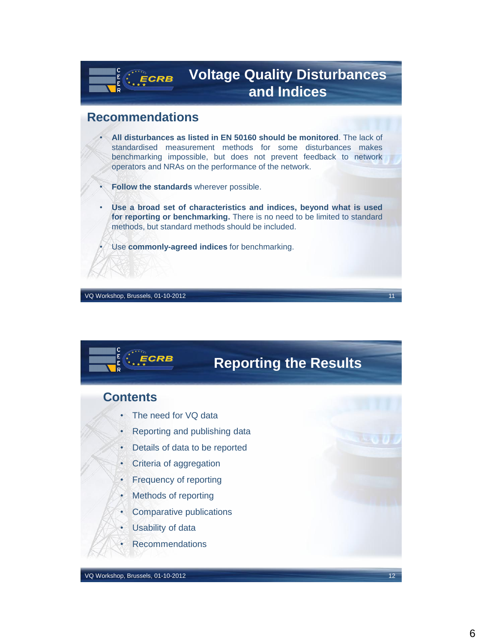## **Voltage Quality Disturbances and Indices**

### **Recommendations**

 $E$  ECRB

E,

- **All disturbances as listed in EN 50160 should be monitored**. The lack of standardised measurement methods for some disturbances makes benchmarking impossible, but does not prevent feedback to network operators and NRAs on the performance of the network.
	- **Follow the standards** wherever possible.
- **Use a broad set of characteristics and indices, beyond what is used for reporting or benchmarking.** There is no need to be limited to standard methods, but standard methods should be included.
	- Use **commonly-agreed indices** for benchmarking.

VQ Workshop, Brussels, 01-10-2012

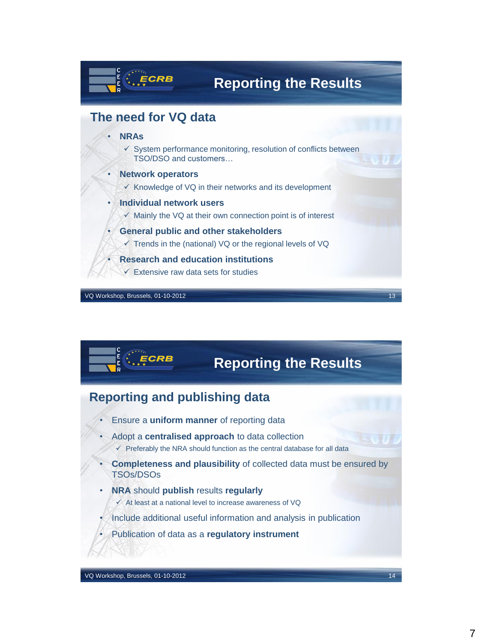

VQ Workshop, Brussels, 01-10-2012 13

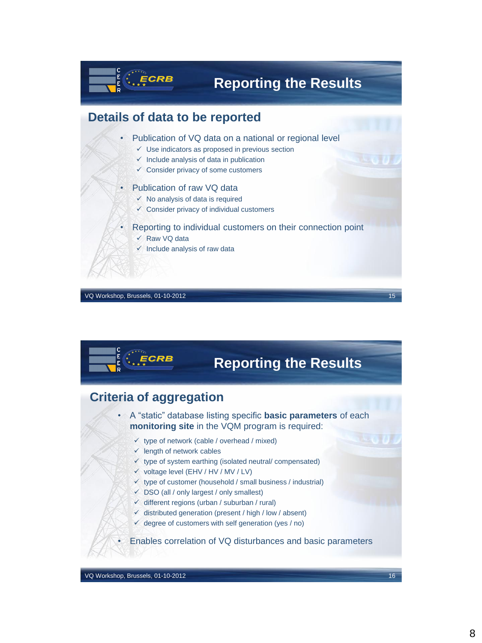

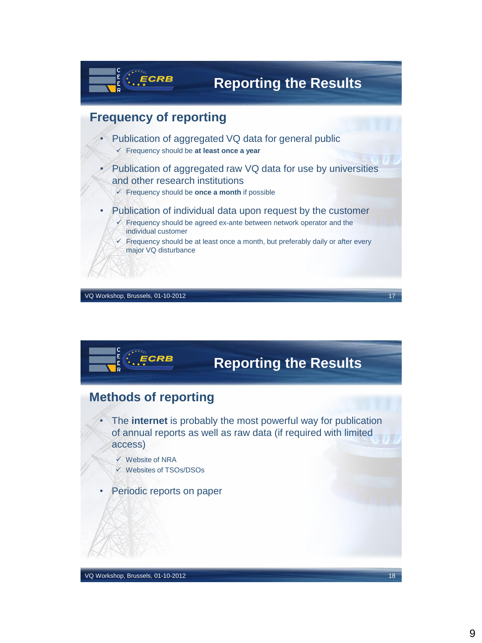

VQ Workshop, Brussels, 01-10-2012

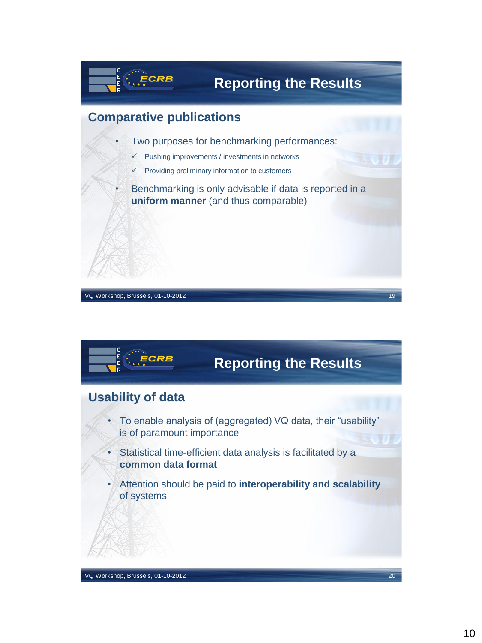